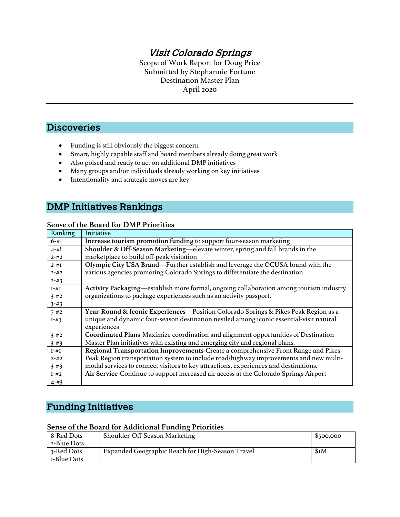# Visit Colorado Springs

Scope of Work Report for Doug Price Submitted by Stephannie Fortune Destination Master Plan April 2020

## **Discoveries**

- Funding is still obviously the biggest concern
- Smart, highly capable staff and board members already doing great work
- Also poised and ready to act on additional DMP initiatives
- Many groups and/or individuals already working on key initiatives
- Intentionality and strategic moves are key

## DMP Initiatives Rankings

#### **Sense of the Board for DMP Priorities**

| Ranking   | Initiative                                                                              |
|-----------|-----------------------------------------------------------------------------------------|
| $6 - #I$  | Increase tourism promotion funding to support four-season marketing                     |
| $4 - #!$  | Shoulder & Off-Season Marketing—elevate winter, spring and fall brands in the           |
| $2 - 42$  | marketplace to build off-peak visitation                                                |
| $2 - #I$  | Olympic City USA Brand—Further establish and leverage the OCUSA brand with the          |
| $2 - 42$  | various agencies promoting Colorado Springs to differentiate the destination            |
| $2 - 43$  |                                                                                         |
| $I - \#I$ | Activity Packaging—establish more formal, ongoing collaboration among tourism industry  |
| $3 - 42$  | organizations to package experiences such as an activity passport.                      |
| $3 - 43$  |                                                                                         |
| $7 - 42$  | Year-Round & Iconic Experiences—Position Colorado Springs & Pikes Peak Region as a      |
| $I - #3$  | unique and dynamic four-season destination nestled among iconic essential-visit natural |
|           | experiences                                                                             |
| $3 - 42$  | Coordinated Plans-Maximize coordination and alignment opportunities of Destination      |
| $3 - 43$  | Master Plan initiatives with existing and emerging city and regional plans.             |
| $I - \#I$ | Regional Transportation Improvements-Create a comprehensive Front Range and Pikes       |
| $2 - 42$  | Peak Region transportation system to include road/highway improvements and new multi-   |
| $3 - 43$  | modal services to connect visitors to key attractions, experiences and destinations.    |
| $I - #2$  | Air Service-Continue to support increased air access at the Colorado Springs Airport    |
| $4 - 43$  |                                                                                         |

# Funding Initiatives

#### **Sense of the Board for Additional Funding Priorities**

| 8-Red Dots  | Shoulder-Off-Season Marketing                    | \$500,000 |
|-------------|--------------------------------------------------|-----------|
| 2-Blue Dots |                                                  |           |
| 3-Red Dots  | Expanded Geographic Reach for High-Season Travel | \$I/M     |
| I-Blue Dots |                                                  |           |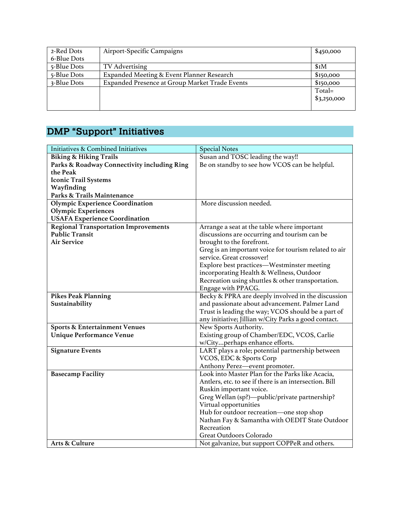| 2-Red Dots  | Airport-Specific Campaigns                     | \$450,000   |
|-------------|------------------------------------------------|-------------|
| 6-Blue Dots |                                                |             |
| 5-Blue Dots | TV Advertising                                 | \$I/M       |
| 5-Blue Dots | Expanded Meeting & Event Planner Research      | \$150,000   |
| 3-Blue Dots | Expanded Presence at Group Market Trade Events | \$150,000   |
|             |                                                | Total=      |
|             |                                                | \$3,250,000 |
|             |                                                |             |

# DMP "Support" Initiatives

| <b>Initiatives &amp; Combined Initiatives</b> | <b>Special Notes</b>                                   |
|-----------------------------------------------|--------------------------------------------------------|
| <b>Biking &amp; Hiking Trails</b>             | Susan and TOSC leading the way!!                       |
| Parks & Roadway Connectivity including Ring   | Be on standby to see how VCOS can be helpful.          |
| the Peak                                      |                                                        |
| Iconic Trail Systems                          |                                                        |
| Wayfinding                                    |                                                        |
| Parks & Trails Maintenance                    |                                                        |
| <b>Olympic Experience Coordination</b>        | More discussion needed.                                |
| <b>Olympic Experiences</b>                    |                                                        |
| <b>USAFA Experience Coordination</b>          |                                                        |
| <b>Regional Transportation Improvements</b>   | Arrange a seat at the table where important            |
| <b>Public Transit</b>                         | discussions are occurring and tourism can be           |
| <b>Air Service</b>                            | brought to the forefront.                              |
|                                               | Greg is an important voice for tourism related to air  |
|                                               | service. Great crossover!                              |
|                                               | Explore best practices—Westminster meeting             |
|                                               | incorporating Health & Wellness, Outdoor               |
|                                               | Recreation using shuttles & other transportation.      |
|                                               | Engage with PPACG.                                     |
| <b>Pikes Peak Planning</b>                    | Becky & PPRA are deeply involved in the discussion     |
| Sustainability                                | and passionate about advancement. Palmer Land          |
|                                               | Trust is leading the way; VCOS should be a part of     |
|                                               | any initiative; Jillian w/City Parks a good contact.   |
| <b>Sports &amp; Entertainment Venues</b>      | New Sports Authority.                                  |
| <b>Unique Performance Venue</b>               | Existing group of Chamber/EDC, VCOS, Carlie            |
|                                               | w/Cityperhaps enhance efforts.                         |
| <b>Signature Events</b>                       | LART plays a role; potential partnership between       |
|                                               | VCOS, EDC & Sports Corp                                |
|                                               | Anthony Perez-event promoter.                          |
| <b>Basecamp Facility</b>                      | Look into Master Plan for the Parks like Acacia,       |
|                                               | Antlers, etc. to see if there is an intersection. Bill |
|                                               | Ruskin important voice.                                |
|                                               | Greg Wellan (sp?)-public/private partnership?          |
|                                               | Virtual opportunities                                  |
|                                               | Hub for outdoor recreation-one stop shop               |
|                                               | Nathan Fay & Samantha with OEDIT State Outdoor         |
|                                               | Recreation                                             |
|                                               | Great Outdoors Colorado                                |
| <b>Arts &amp; Culture</b>                     | Not galvanize, but support COPPeR and others.          |